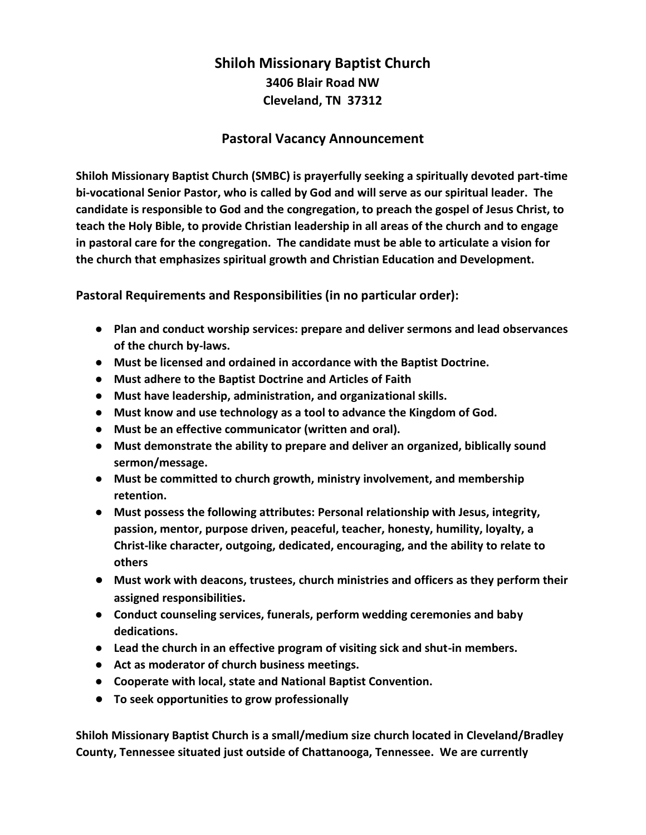## **Shiloh Missionary Baptist Church 3406 Blair Road NW Cleveland, TN 37312**

## **Pastoral Vacancy Announcement**

**Shiloh Missionary Baptist Church (SMBC) is prayerfully seeking a spiritually devoted part-time bi-vocational Senior Pastor, who is called by God and will serve as our spiritual leader. The candidate is responsible to God and the congregation, to preach the gospel of Jesus Christ, to teach the Holy Bible, to provide Christian leadership in all areas of the church and to engage in pastoral care for the congregation. The candidate must be able to articulate a vision for the church that emphasizes spiritual growth and Christian Education and Development.**

**Pastoral Requirements and Responsibilities (in no particular order):**

- **Plan and conduct worship services: prepare and deliver sermons and lead observances of the church by-laws.**
- **Must be licensed and ordained in accordance with the Baptist Doctrine.**
- **Must adhere to the Baptist Doctrine and Articles of Faith**
- **Must have leadership, administration, and organizational skills.**
- **Must know and use technology as a tool to advance the Kingdom of God.**
- **Must be an effective communicator (written and oral).**
- **Must demonstrate the ability to prepare and deliver an organized, biblically sound sermon/message.**
- **Must be committed to church growth, ministry involvement, and membership retention.**
- **Must possess the following attributes: Personal relationship with Jesus, integrity, passion, mentor, purpose driven, peaceful, teacher, honesty, humility, loyalty, a Christ-like character, outgoing, dedicated, encouraging, and the ability to relate to others**
- **Must work with deacons, trustees, church ministries and officers as they perform their assigned responsibilities.**
- **Conduct counseling services, funerals, perform wedding ceremonies and baby dedications.**
- **Lead the church in an effective program of visiting sick and shut-in members.**
- **Act as moderator of church business meetings.**
- **Cooperate with local, state and National Baptist Convention.**
- **To seek opportunities to grow professionally**

**Shiloh Missionary Baptist Church is a small/medium size church located in Cleveland/Bradley County, Tennessee situated just outside of Chattanooga, Tennessee. We are currently**